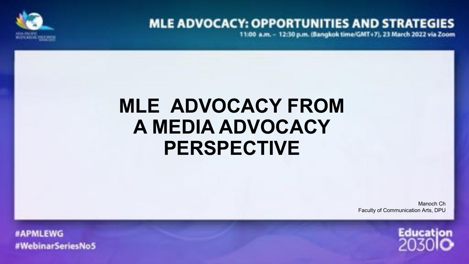

## **MLE ADVOCACY: OPPORTUNITIES AND STRATEGIES**

11:00 a.m. - 12:30 p.m. (Bangkok time/GMT+7), 23 March 2022 via Zoom

# **MLE ADVOCACY FROM A MEDIA ADVOCACY PERSPECTIVE**

Manoch Ch Faculty of Communication Arts, DPU



#APMLEWG #WebinarSeriesNoS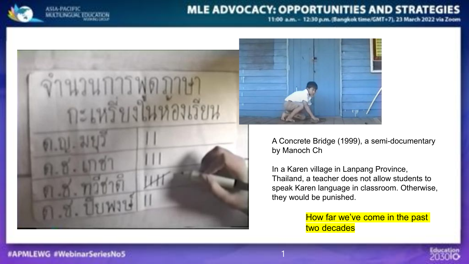

#### **MLE ADVOCACY: OPPORTUNITIES AND STRATEGIES**

11:00 a.m. - 12:30 p.m. (Sangkok time/GMT+7), 23 March 2022 via Zoom





A Concrete Bridge (1999), a semi-documentary by Manoch Ch

In a Karen village in Lanpang Province, Thailand, a teacher does not allow students to speak Karen language in classroom. Otherwise, they would be punished.

> How far we've come in the past two decades



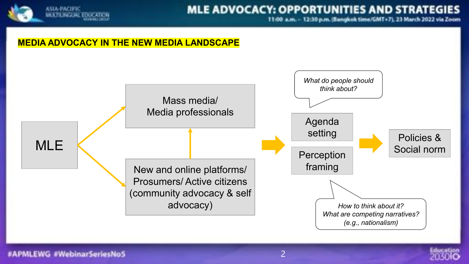

### **MLE ADVOCACY: OPPORTUNITIES AND STRATEGIES**

11:00 a.m. - 12:30 p.m. (Sangkok time/GMT+7), 23 March 2022 via Zoom

#### **MEDIA ADVOCACY IN THE NEW MEDIA LANDSCAPE**



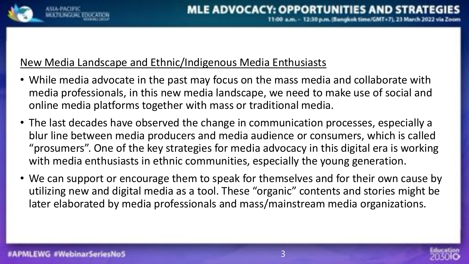

#### New Media Landscape and Ethnic/Indigenous Media Enthusiasts

- While media advocate in the past may focus on the mass media and collaborate with media professionals, in this new media landscape, we need to make use of social and online media platforms together with mass or traditional media.
- The last decades have observed the change in communication processes, especially a blur line between media producers and media audience or consumers, which is called "prosumers". One of the key strategies for media advocacy in this digital era is working with media enthusiasts in ethnic communities, especially the young generation.
- We can support or encourage them to speak for themselves and for their own cause by utilizing new and digital media as a tool. These "organic" contents and stories might be later elaborated by media professionals and mass/mainstream media organizations.

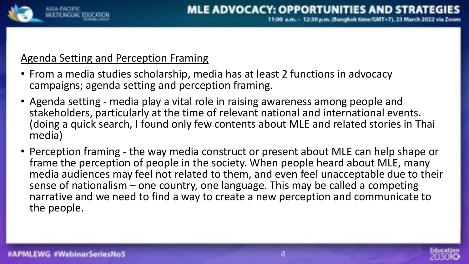

#### Agenda Setting and Perception Framing

- From a media studies scholarship, media has at least 2 functions in advocacy campaigns; agenda setting and perception framing.
- Agenda setting media play a vital role in raising awareness among people and stakeholders, particularly at the time of relevant national and international events. (doing a quick search, I found only few contents about MLE and related stories in Thai media)
- Perception framing the way media construct or present about MLE can help shape or frame the perception of people in the society. When people heard about MLE, many media audiences may feel not related to them, and even feel unacceptable due to their sense of nationalism - one country, one language. This may be called a competing narrative and we need to find a way to create a new perception and communicate to the people.